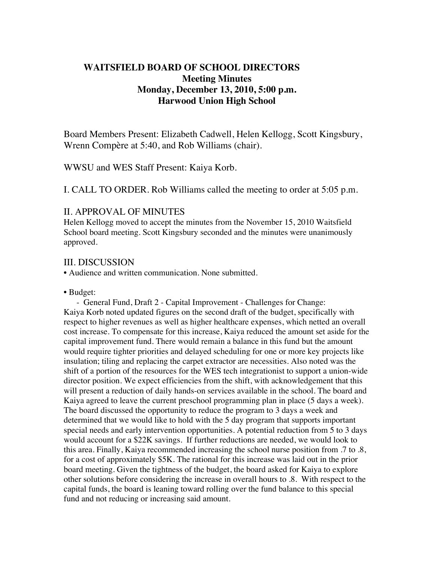# **WAITSFIELD BOARD OF SCHOOL DIRECTORS Meeting Minutes Monday, December 13, 2010, 5:00 p.m. Harwood Union High School**

Board Members Present: Elizabeth Cadwell, Helen Kellogg, Scott Kingsbury, Wrenn Compère at 5:40, and Rob Williams (chair).

WWSU and WES Staff Present: Kaiya Korb.

I. CALL TO ORDER. Rob Williams called the meeting to order at 5:05 p.m.

#### II. APPROVAL OF MINUTES

Helen Kellogg moved to accept the minutes from the November 15, 2010 Waitsfield School board meeting. Scott Kingsbury seconded and the minutes were unanimously approved.

#### III. DISCUSSION

• Audience and written communication. None submitted.

• Budget:

- General Fund, Draft 2 - Capital Improvement - Challenges for Change: Kaiya Korb noted updated figures on the second draft of the budget, specifically with respect to higher revenues as well as higher healthcare expenses, which netted an overall cost increase. To compensate for this increase, Kaiya reduced the amount set aside for the capital improvement fund. There would remain a balance in this fund but the amount would require tighter priorities and delayed scheduling for one or more key projects like insulation; tiling and replacing the carpet extractor are necessities. Also noted was the shift of a portion of the resources for the WES tech integrationist to support a union-wide director position. We expect efficiencies from the shift, with acknowledgement that this will present a reduction of daily hands-on services available in the school. The board and Kaiya agreed to leave the current preschool programming plan in place (5 days a week). The board discussed the opportunity to reduce the program to 3 days a week and determined that we would like to hold with the 5 day program that supports important special needs and early intervention opportunities. A potential reduction from 5 to 3 days would account for a \$22K savings. If further reductions are needed, we would look to this area. Finally, Kaiya recommended increasing the school nurse position from .7 to .8, for a cost of approximately \$5K. The rational for this increase was laid out in the prior board meeting. Given the tightness of the budget, the board asked for Kaiya to explore other solutions before considering the increase in overall hours to .8. With respect to the capital funds, the board is leaning toward rolling over the fund balance to this special fund and not reducing or increasing said amount.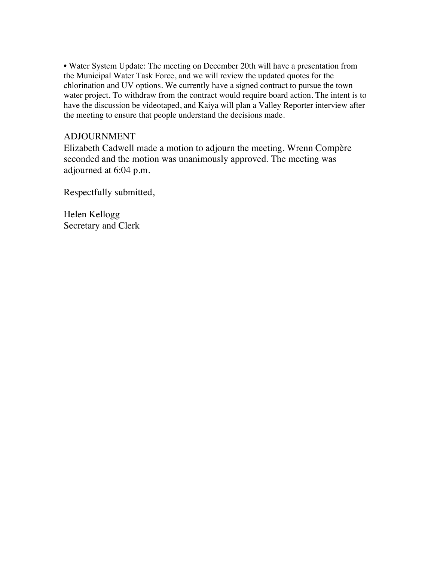• Water System Update: The meeting on December 20th will have a presentation from the Municipal Water Task Force, and we will review the updated quotes for the chlorination and UV options. We currently have a signed contract to pursue the town water project. To withdraw from the contract would require board action. The intent is to have the discussion be videotaped, and Kaiya will plan a Valley Reporter interview after the meeting to ensure that people understand the decisions made.

## ADJOURNMENT

Elizabeth Cadwell made a motion to adjourn the meeting. Wrenn Compère seconded and the motion was unanimously approved. The meeting was adjourned at 6:04 p.m.

Respectfully submitted,

Helen Kellogg Secretary and Clerk